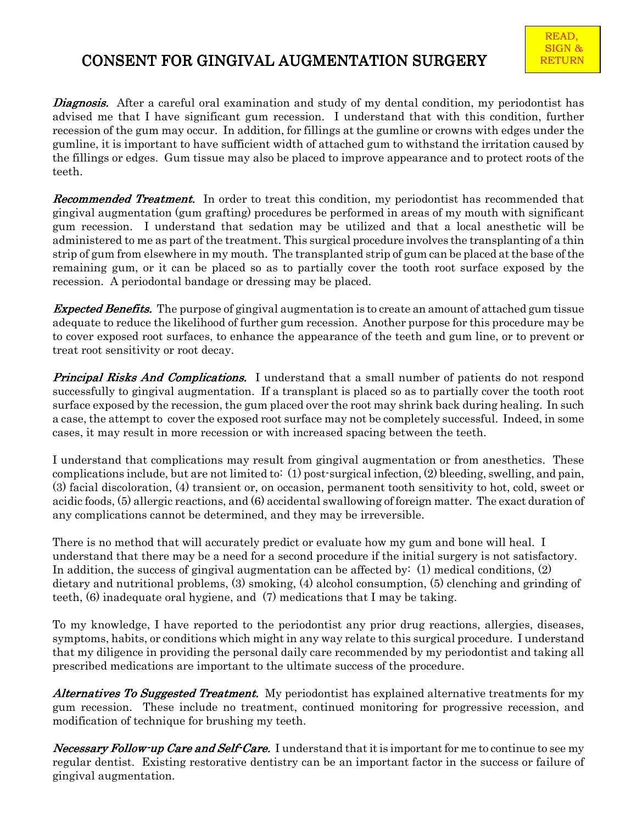## CONSENT FOR GINGIVAL AUGMENTATION SURGERY

**Diagnosis.** After a careful oral examination and study of my dental condition, my periodontist has advised me that I have significant gum recession. I understand that with this condition, further recession of the gum may occur. In addition, for fillings at the gumline or crowns with edges under the gumline, it is important to have sufficient width of attached gum to withstand the irritation caused by the fillings or edges. Gum tissue may also be placed to improve appearance and to protect roots of the teeth.

**Recommended Treatment.** In order to treat this condition, my periodontist has recommended that gingival augmentation (gum grafting) procedures be performed in areas of my mouth with significant gum recession. I understand that sedation may be utilized and that a local anesthetic will be administered to me as part of the treatment. This surgical procedure involves the transplanting of a thin strip of gum from elsewhere in my mouth. The transplanted strip of gum can be placed at the base of the remaining gum, or it can be placed so as to partially cover the tooth root surface exposed by the recession. A periodontal bandage or dressing may be placed.

**Expected Benefits.** The purpose of gingival augmentation is to create an amount of attached gum tissue adequate to reduce the likelihood of further gum recession. Another purpose for this procedure may be to cover exposed root surfaces, to enhance the appearance of the teeth and gum line, or to prevent or treat root sensitivity or root decay.

**Principal Risks And Complications.** I understand that a small number of patients do not respond successfully to gingival augmentation. If a transplant is placed so as to partially cover the tooth root surface exposed by the recession, the gum placed over the root may shrink back during healing. In such a case, the attempt to cover the exposed root surface may not be completely successful. Indeed, in some cases, it may result in more recession or with increased spacing between the teeth.

I understand that complications may result from gingival augmentation or from anesthetics. These complications include, but are not limited to: (1) post-surgical infection, (2) bleeding, swelling, and pain, (3) facial discoloration, (4) transient or, on occasion, permanent tooth sensitivity to hot, cold, sweet or acidic foods, (5) allergic reactions, and (6) accidental swallowing of foreign matter. The exact duration of any complications cannot be determined, and they may be irreversible.

There is no method that will accurately predict or evaluate how my gum and bone will heal. I understand that there may be a need for a second procedure if the initial surgery is not satisfactory. In addition, the success of gingival augmentation can be affected by: (1) medical conditions, (2) dietary and nutritional problems, (3) smoking, (4) alcohol consumption, (5) clenching and grinding of teeth, (6) inadequate oral hygiene, and (7) medications that I may be taking.

To my knowledge, I have reported to the periodontist any prior drug reactions, allergies, diseases, symptoms, habits, or conditions which might in any way relate to this surgical procedure. I understand that my diligence in providing the personal daily care recommended by my periodontist and taking all prescribed medications are important to the ultimate success of the procedure.

**Alternatives To Suggested Treatment.** My periodontist has explained alternative treatments for my gum recession. These include no treatment, continued monitoring for progressive recession, and modification of technique for brushing my teeth.

Necessary Follow-up Care and Self-Care. I understand that it is important for me to continue to see my regular dentist. Existing restorative dentistry can be an important factor in the success or failure of gingival augmentation.